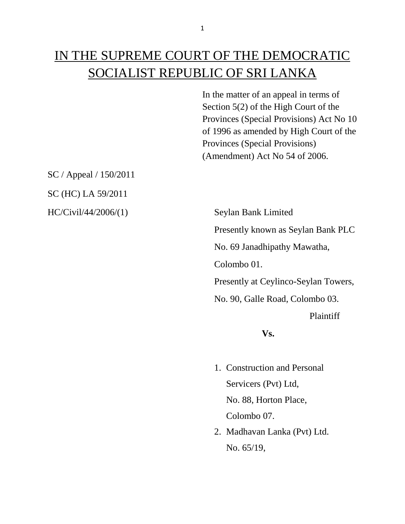# IN THE SUPREME COURT OF THE DEMOCRATIC SOCIALIST REPUBLIC OF SRI LANKA

In the matter of an appeal in terms of Section 5(2) of the High Court of the Provinces (Special Provisions) Act No 10 of 1996 as amended by High Court of the Provinces (Special Provisions) (Amendment) Act No 54 of 2006.

SC / Appeal / 150/2011 SC (HC) LA 59/2011

HC/Civil/44/2006/(1) Seylan Bank Limited Presently known as Seylan Bank PLC No. 69 Janadhipathy Mawatha, Colombo 01. Presently at Ceylinco-Seylan Towers, No. 90, Galle Road, Colombo 03. Plaintiff

**Vs.**

- 1. Construction and Personal Servicers (Pvt) Ltd, No. 88, Horton Place, Colombo 07.
- 2. Madhavan Lanka (Pvt) Ltd. No. 65/19,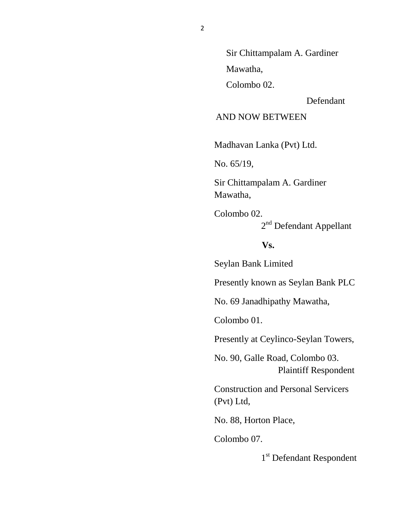Sir Chittampalam A. Gardiner

Mawatha,

Colombo 02.

Defendant

AND NOW BETWEEN

Madhavan Lanka (Pvt) Ltd.

No. 65/19,

Sir Chittampalam A. Gardiner Mawatha,

Colombo 02. 2<sup>nd</sup> Defendant Appellant

**Vs.**

Seylan Bank Limited

Presently known as Seylan Bank PLC

No. 69 Janadhipathy Mawatha,

Colombo 01.

Presently at Ceylinco-Seylan Towers,

No. 90, Galle Road, Colombo 03. Plaintiff Respondent

Construction and Personal Servicers (Pvt) Ltd,

No. 88, Horton Place,

Colombo 07.

1<sup>st</sup> Defendant Respondent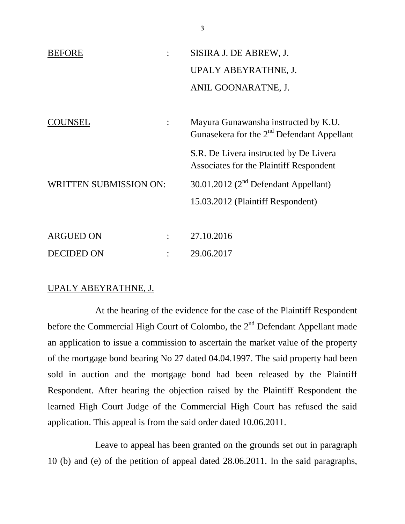| <b>BEFORE</b>                 |  | SISIRA J. DE ABREW, J.                                                               |
|-------------------------------|--|--------------------------------------------------------------------------------------|
|                               |  | UPALY ABEYRATHNE, J.                                                                 |
|                               |  | ANIL GOONARATNE, J.                                                                  |
|                               |  |                                                                                      |
| UNSEL<br>$\ddot{\cdot}$       |  | Mayura Gunawansha instructed by K.U.<br>Gunasekera for the $2nd$ Defendant Appellant |
|                               |  | S.R. De Livera instructed by De Livera<br>Associates for the Plaintiff Respondent    |
| <b>WRITTEN SUBMISSION ON:</b> |  | 30.01.2012 ( $2nd$ Defendant Appellant)                                              |
|                               |  | 15.03.2012 (Plaintiff Respondent)                                                    |
|                               |  |                                                                                      |
| <b>ARGUED ON</b>              |  | 27.10.2016                                                                           |
| DECIDED ON                    |  | 29.06.2017                                                                           |

### UPALY ABEYRATHNE, J.

At the hearing of the evidence for the case of the Plaintiff Respondent before the Commercial High Court of Colombo, the 2<sup>nd</sup> Defendant Appellant made an application to issue a commission to ascertain the market value of the property of the mortgage bond bearing No 27 dated 04.04.1997. The said property had been sold in auction and the mortgage bond had been released by the Plaintiff Respondent. After hearing the objection raised by the Plaintiff Respondent the learned High Court Judge of the Commercial High Court has refused the said application. This appeal is from the said order dated 10.06.2011.

Leave to appeal has been granted on the grounds set out in paragraph 10 (b) and (e) of the petition of appeal dated 28.06.2011. In the said paragraphs,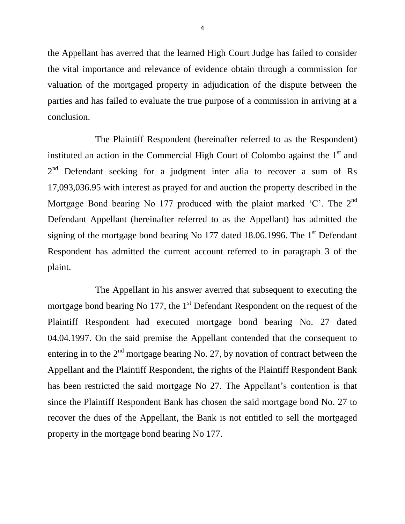the Appellant has averred that the learned High Court Judge has failed to consider the vital importance and relevance of evidence obtain through a commission for valuation of the mortgaged property in adjudication of the dispute between the parties and has failed to evaluate the true purpose of a commission in arriving at a conclusion.

The Plaintiff Respondent (hereinafter referred to as the Respondent) instituted an action in the Commercial High Court of Colombo against the  $1<sup>st</sup>$  and  $2<sup>nd</sup>$ Defendant seeking for a judgment inter alia to recover a sum of Rs 17,093,036.95 with interest as prayed for and auction the property described in the Mortgage Bond bearing No 177 produced with the plaint marked 'C'. The  $2^{nd}$ Defendant Appellant (hereinafter referred to as the Appellant) has admitted the signing of the mortgage bond bearing No 177 dated 18.06.1996. The 1<sup>st</sup> Defendant Respondent has admitted the current account referred to in paragraph 3 of the plaint.

The Appellant in his answer averred that subsequent to executing the mortgage bond bearing No 177, the  $1<sup>st</sup>$  Defendant Respondent on the request of the Plaintiff Respondent had executed mortgage bond bearing No. 27 dated 04.04.1997. On the said premise the Appellant contended that the consequent to entering in to the  $2<sup>nd</sup>$  mortgage bearing No. 27, by novation of contract between the Appellant and the Plaintiff Respondent, the rights of the Plaintiff Respondent Bank has been restricted the said mortgage No 27. The Appellant's contention is that since the Plaintiff Respondent Bank has chosen the said mortgage bond No. 27 to recover the dues of the Appellant, the Bank is not entitled to sell the mortgaged property in the mortgage bond bearing No 177.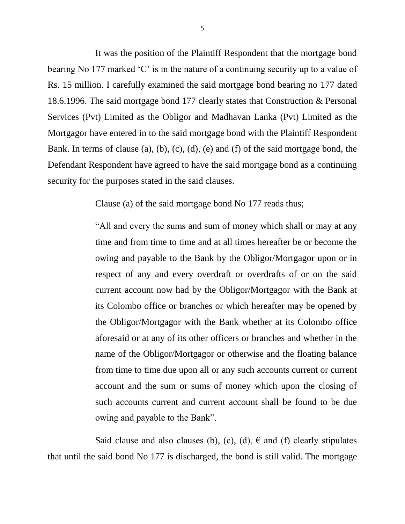It was the position of the Plaintiff Respondent that the mortgage bond bearing No 177 marked 'C' is in the nature of a continuing security up to a value of Rs. 15 million. I carefully examined the said mortgage bond bearing no 177 dated 18.6.1996. The said mortgage bond 177 clearly states that Construction & Personal Services (Pvt) Limited as the Obligor and Madhavan Lanka (Pvt) Limited as the Mortgagor have entered in to the said mortgage bond with the Plaintiff Respondent Bank. In terms of clause (a), (b), (c), (d), (e) and (f) of the said mortgage bond, the Defendant Respondent have agreed to have the said mortgage bond as a continuing security for the purposes stated in the said clauses.

Clause (a) of the said mortgage bond No 177 reads thus;

"All and every the sums and sum of money which shall or may at any time and from time to time and at all times hereafter be or become the owing and payable to the Bank by the Obligor/Mortgagor upon or in respect of any and every overdraft or overdrafts of or on the said current account now had by the Obligor/Mortgagor with the Bank at its Colombo office or branches or which hereafter may be opened by the Obligor/Mortgagor with the Bank whether at its Colombo office aforesaid or at any of its other officers or branches and whether in the name of the Obligor/Mortgagor or otherwise and the floating balance from time to time due upon all or any such accounts current or current account and the sum or sums of money which upon the closing of such accounts current and current account shall be found to be due owing and payable to the Bank".

Said clause and also clauses (b), (c), (d),  $\epsilon$  and (f) clearly stipulates that until the said bond No 177 is discharged, the bond is still valid. The mortgage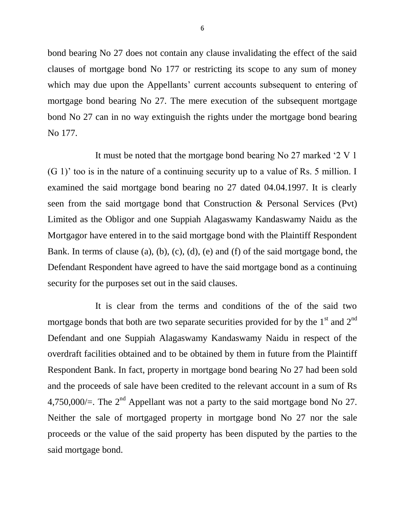bond bearing No 27 does not contain any clause invalidating the effect of the said clauses of mortgage bond No 177 or restricting its scope to any sum of money which may due upon the Appellants' current accounts subsequent to entering of mortgage bond bearing No 27. The mere execution of the subsequent mortgage bond No 27 can in no way extinguish the rights under the mortgage bond bearing No 177.

It must be noted that the mortgage bond bearing No 27 marked '2 V 1 (G 1)' too is in the nature of a continuing security up to a value of Rs. 5 million. I examined the said mortgage bond bearing no 27 dated 04.04.1997. It is clearly seen from the said mortgage bond that Construction & Personal Services (Pvt) Limited as the Obligor and one Suppiah Alagaswamy Kandaswamy Naidu as the Mortgagor have entered in to the said mortgage bond with the Plaintiff Respondent Bank. In terms of clause (a), (b), (c), (d), (e) and (f) of the said mortgage bond, the Defendant Respondent have agreed to have the said mortgage bond as a continuing security for the purposes set out in the said clauses.

It is clear from the terms and conditions of the of the said two mortgage bonds that both are two separate securities provided for by the  $1<sup>st</sup>$  and  $2<sup>nd</sup>$ Defendant and one Suppiah Alagaswamy Kandaswamy Naidu in respect of the overdraft facilities obtained and to be obtained by them in future from the Plaintiff Respondent Bank. In fact, property in mortgage bond bearing No 27 had been sold and the proceeds of sale have been credited to the relevant account in a sum of Rs 4,750,000/ $=$ . The 2<sup>nd</sup> Appellant was not a party to the said mortgage bond No 27. Neither the sale of mortgaged property in mortgage bond No 27 nor the sale proceeds or the value of the said property has been disputed by the parties to the said mortgage bond.